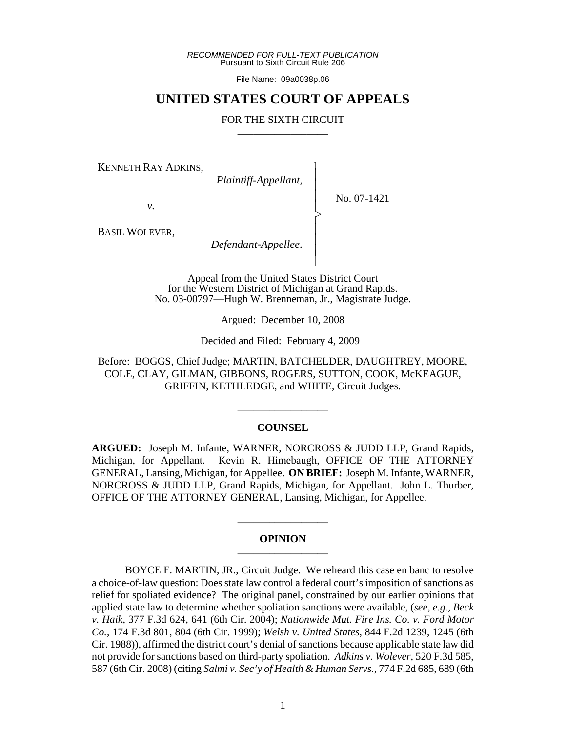*RECOMMENDED FOR FULL-TEXT PUBLICATION* Pursuant to Sixth Circuit Rule 206

File Name: 09a0038p.06

# **UNITED STATES COURT OF APPEALS**

### FOR THE SIXTH CIRCUIT

 $\overline{\phantom{a}}$ - - - > , - - - N

KENNETH RAY ADKINS,

 *Plaintiff-Appellant,*

No. 07-1421

*v.*

BASIL WOLEVER,

 *Defendant-Appellee.*

Appeal from the United States District Court for the Western District of Michigan at Grand Rapids. No. 03-00797—Hugh W. Brenneman, Jr., Magistrate Judge.

Argued: December 10, 2008

Decided and Filed: February 4, 2009

Before: BOGGS, Chief Judge; MARTIN, BATCHELDER, DAUGHTREY, MOORE, COLE, CLAY, GILMAN, GIBBONS, ROGERS, SUTTON, COOK, McKEAGUE, GRIFFIN, KETHLEDGE, and WHITE, Circuit Judges.

## **COUNSEL**

\_\_\_\_\_\_\_\_\_\_\_\_\_\_\_\_\_

**ARGUED:** Joseph M. Infante, WARNER, NORCROSS & JUDD LLP, Grand Rapids, Michigan, for Appellant. Kevin R. Himebaugh, OFFICE OF THE ATTORNEY GENERAL, Lansing, Michigan, for Appellee. **ON BRIEF:** Joseph M. Infante, WARNER, NORCROSS & JUDD LLP, Grand Rapids, Michigan, for Appellant. John L. Thurber, OFFICE OF THE ATTORNEY GENERAL, Lansing, Michigan, for Appellee.

#### **OPINION \_\_\_\_\_\_\_\_\_\_\_\_\_\_\_\_\_**

**\_\_\_\_\_\_\_\_\_\_\_\_\_\_\_\_\_**

BOYCE F. MARTIN, JR., Circuit Judge. We reheard this case en banc to resolve a choice-of-law question: Does state law control a federal court's imposition of sanctions as relief for spoliated evidence? The original panel, constrained by our earlier opinions that applied state law to determine whether spoliation sanctions were available, (*see, e.g., Beck v. Haik*, 377 F.3d 624, 641 (6th Cir. 2004); *Nationwide Mut. Fire Ins. Co. v. Ford Motor Co.*, 174 F.3d 801, 804 (6th Cir. 1999); *Welsh v. United States*, 844 F.2d 1239, 1245 (6th Cir. 1988)), affirmed the district court's denial of sanctions because applicable state law did not provide for sanctions based on third-party spoliation. *Adkins v. Wolever*, 520 F.3d 585, 587 (6th Cir. 2008) (citing *Salmi v. Sec'y of Health & Human Servs.*, 774 F.2d 685, 689 (6th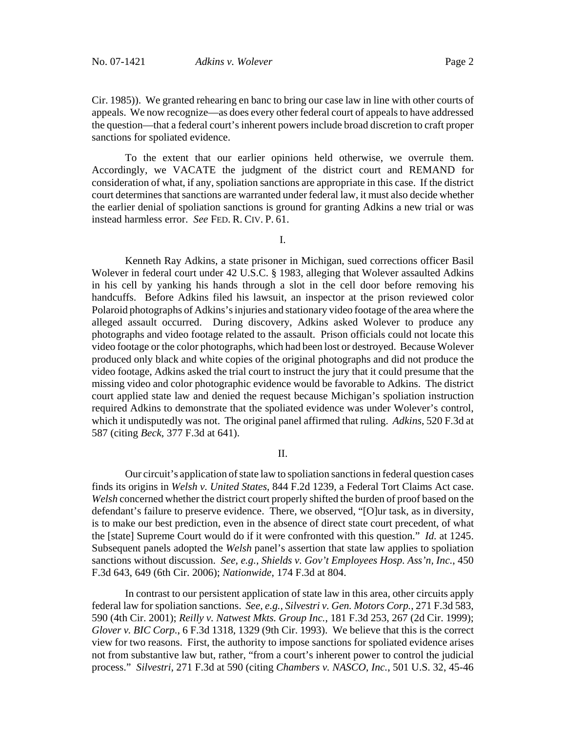Cir. 1985)). We granted rehearing en banc to bring our case law in line with other courts of appeals. We now recognize—as does every other federal court of appeals to have addressed the question—that a federal court's inherent powers include broad discretion to craft proper sanctions for spoliated evidence.

To the extent that our earlier opinions held otherwise, we overrule them. Accordingly, we VACATE the judgment of the district court and REMAND for consideration of what, if any, spoliation sanctions are appropriate in this case. If the district court determines that sanctions are warranted under federal law, it must also decide whether the earlier denial of spoliation sanctions is ground for granting Adkins a new trial or was instead harmless error. *See* FED. R. CIV. P. 61.

I.

Kenneth Ray Adkins, a state prisoner in Michigan, sued corrections officer Basil Wolever in federal court under 42 U.S.C. § 1983, alleging that Wolever assaulted Adkins in his cell by yanking his hands through a slot in the cell door before removing his handcuffs. Before Adkins filed his lawsuit, an inspector at the prison reviewed color Polaroid photographs of Adkins's injuries and stationary video footage of the area where the alleged assault occurred. During discovery, Adkins asked Wolever to produce any photographs and video footage related to the assault. Prison officials could not locate this video footage or the color photographs, which had been lost or destroyed. Because Wolever produced only black and white copies of the original photographs and did not produce the video footage, Adkins asked the trial court to instruct the jury that it could presume that the missing video and color photographic evidence would be favorable to Adkins. The district court applied state law and denied the request because Michigan's spoliation instruction required Adkins to demonstrate that the spoliated evidence was under Wolever's control, which it undisputedly was not. The original panel affirmed that ruling. *Adkins*, 520 F.3d at 587 (citing *Beck*, 377 F.3d at 641).

#### II.

Our circuit's application of state law to spoliation sanctions in federal question cases finds its origins in *Welsh v. United States*, 844 F.2d 1239, a Federal Tort Claims Act case. *Welsh* concerned whether the district court properly shifted the burden of proof based on the defendant's failure to preserve evidence. There, we observed, "[O]ur task, as in diversity, is to make our best prediction, even in the absence of direct state court precedent, of what the [state] Supreme Court would do if it were confronted with this question." *Id.* at 1245. Subsequent panels adopted the *Welsh* panel's assertion that state law applies to spoliation sanctions without discussion. *See, e.g., Shields v. Gov't Employees Hosp. Ass'n, Inc.*, 450 F.3d 643, 649 (6th Cir. 2006); *Nationwide*, 174 F.3d at 804.

In contrast to our persistent application of state law in this area, other circuits apply federal law for spoliation sanctions. *See, e.g., Silvestri v. Gen. Motors Corp.*, 271 F.3d 583, 590 (4th Cir. 2001); *Reilly v. Natwest Mkts. Group Inc.*, 181 F.3d 253, 267 (2d Cir. 1999); *Glover v. BIC Corp.*, 6 F.3d 1318, 1329 (9th Cir. 1993). We believe that this is the correct view for two reasons. First, the authority to impose sanctions for spoliated evidence arises not from substantive law but, rather, "from a court's inherent power to control the judicial process." *Silvestri*, 271 F.3d at 590 (citing *Chambers v. NASCO*, *Inc.*, 501 U.S. 32, 45-46